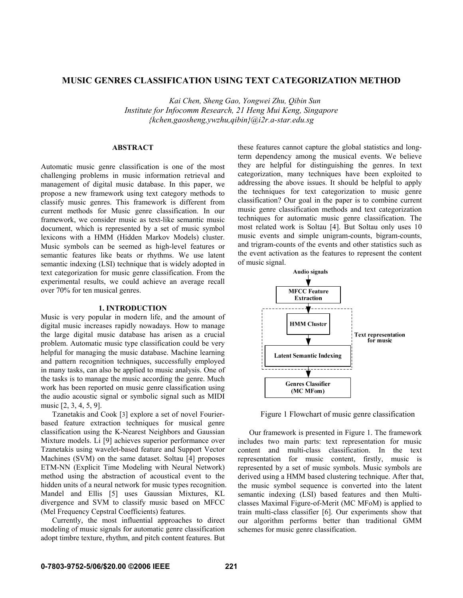# **MUSIC GENRES CLASSIFICATION USING TEXT CATEGORIZATION METHOD**

*Kai Chen, Sheng Gao, Yongwei Zhu, Qibin Sun Institute for Infocomm Research, 21 Heng Mui Keng, Singapore {kchen,gaosheng,ywzhu,qibin}@i2r.a-star.edu.sg* 

#### **ABSTRACT**

Automatic music genre classification is one of the most challenging problems in music information retrieval and management of digital music database. In this paper, we propose a new framework using text category methods to classify music genres. This framework is different from current methods for Music genre classification. In our framework, we consider music as text-like semantic music document, which is represented by a set of music symbol lexicons with a HMM (Hidden Markov Models) cluster. Music symbols can be seemed as high-level features or semantic features like beats or rhythms. We use latent semantic indexing (LSI) technique that is widely adopted in text categorization for music genre classification. From the experimental results, we could achieve an average recall over 70% for ten musical genres.

# **1. INTRODUCTION**

Music is very popular in modern life, and the amount of digital music increases rapidly nowadays. How to manage the large digital music database has arisen as a crucial problem. Automatic music type classification could be very helpful for managing the music database. Machine learning and pattern recognition techniques, successfully employed in many tasks, can also be applied to music analysis. One of the tasks is to manage the music according the genre. Much work has been reported on music genre classification using the audio acoustic signal or symbolic signal such as MIDI music [2, 3, 4, 5, 9].

Tzanetakis and Cook [3] explore a set of novel Fourierbased feature extraction techniques for musical genre classification using the K-Nearest Neighbors and Gaussian Mixture models. Li [9] achieves superior performance over Tzanetakis using wavelet-based feature and Support Vector Machines (SVM) on the same dataset. Soltau [4] proposes ETM-NN (Explicit Time Modeling with Neural Network) method using the abstraction of acoustical event to the hidden units of a neural network for music types recognition. Mandel and Ellis [5] uses Gaussian Mixtures, KL divergence and SVM to classify music based on MFCC (Mel Frequency Cepstral Coefficients) features.

Currently, the most influential approaches to direct modeling of music signals for automatic genre classification adopt timbre texture, rhythm, and pitch content features. But these features cannot capture the global statistics and longterm dependency among the musical events. We believe they are helpful for distinguishing the genres. In text categorization, many techniques have been exploited to addressing the above issues. It should be helpful to apply the techniques for text categorization to music genre classification? Our goal in the paper is to combine current music genre classification methods and text categorization techniques for automatic music genre classification. The most related work is Soltau [4]. But Soltau only uses 10 music events and simple unigram-counts, bigram-counts, and trigram-counts of the events and other statistics such as the event activation as the features to represent the content of music signal.



Figure 1 Flowchart of music genre classification

Our framework is presented in Figure 1. The framework includes two main parts: text representation for music content and multi-class classification. In the text representation for music content, firstly, music is represented by a set of music symbols. Music symbols are derived using a HMM based clustering technique. After that, the music symbol sequence is converted into the latent semantic indexing (LSI) based features and then Multiclasses Maximal Figure-of-Merit (MC MFoM) is applied to train multi-class classifier [6]. Our experiments show that our algorithm performs better than traditional GMM schemes for music genre classification.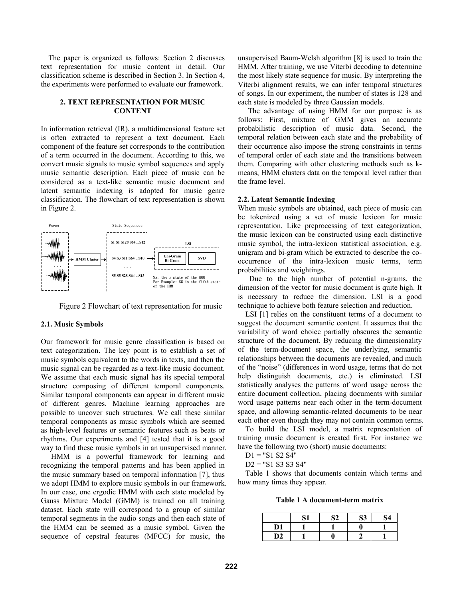The paper is organized as follows: Section 2 discusses text representation for music content in detail. Our classification scheme is described in Section 3. In Section 4, the experiments were performed to evaluate our framework.

## **2. TEXT REPRESENTATION FOR MUSIC CONTENT**

In information retrieval (IR), a multidimensional feature set is often extracted to represent a text document. Each component of the feature set corresponds to the contribution of a term occurred in the document. According to this, we convert music signals to music symbol sequences and apply music semantic description. Each piece of music can be considered as a text-like semantic music document and latent semantic indexing is adopted for music genre classification. The flowchart of text representation is shown in Figure 2.



Figure 2 Flowchart of text representation for music

#### **2.1. Music Symbols**

Our framework for music genre classification is based on text categorization. The key point is to establish a set of music symbols equivalent to the words in texts, and then the music signal can be regarded as a text-like music document. We assume that each music signal has its special temporal structure composing of different temporal components. Similar temporal components can appear in different music of different genres. Machine learning approaches are possible to uncover such structures. We call these similar temporal components as music symbols which are seemed as high-level features or semantic features such as beats or rhythms. Our experiments and [4] tested that it is a good way to find these music symbols in an unsupervised manner.

HMM is a powerful framework for learning and recognizing the temporal patterns and has been applied in the music summary based on temporal information [7], thus we adopt HMM to explore music symbols in our framework. In our case, one ergodic HMM with each state modeled by Gauss Mixture Model (GMM) is trained on all training dataset. Each state will correspond to a group of similar temporal segments in the audio songs and then each state of the HMM can be seemed as a music symbol. Given the sequence of cepstral features (MFCC) for music, the

unsupervised Baum-Welsh algorithm [8] is used to train the HMM. After training, we use Viterbi decoding to determine the most likely state sequence for music. By interpreting the Viterbi alignment results, we can infer temporal structures of songs. In our experiment, the number of states is 128 and each state is modeled by three Gaussian models.

The advantage of using HMM for our purpose is as follows: First, mixture of GMM gives an accurate probabilistic description of music data. Second, the temporal relation between each state and the probability of their occurrence also impose the strong constraints in terms of temporal order of each state and the transitions between them. Comparing with other clustering methods such as kmeans, HMM clusters data on the temporal level rather than the frame level.

#### **2.2. Latent Semantic Indexing**

When music symbols are obtained, each piece of music can be tokenized using a set of music lexicon for music representation. Like preprocessing of text categorization, the music lexicon can be constructed using each distinctive music symbol, the intra-lexicon statistical association, e.g. unigram and bi-gram which be extracted to describe the cooccurrence of the intra-lexicon music terms, term probabilities and weightings.

Due to the high number of potential n-grams, the dimension of the vector for music document is quite high. It is necessary to reduce the dimension. LSI is a good technique to achieve both feature selection and reduction.

LSI [1] relies on the constituent terms of a document to suggest the document semantic content. It assumes that the variability of word choice partially obscures the semantic structure of the document. By reducing the dimensionality of the term-document space, the underlying, semantic relationships between the documents are revealed, and much of the "noise" (differences in word usage, terms that do not help distinguish documents, etc.) is eliminated. LSI statistically analyses the patterns of word usage across the entire document collection, placing documents with similar word usage patterns near each other in the term-document space, and allowing semantic-related documents to be near each other even though they may not contain common terms.

To build the LSI model, a matrix representation of training music document is created first. For instance we have the following two (short) music documents:

D1 = "S1 S2 S4"

 $D2 = "S1 S3 S3 S4"$ 

Table 1 shows that documents contain which terms and how many times they appear.

**Table 1 A document-term matrix**

|     | $\bf S1$ | S <sub>2</sub> | S <sub>3</sub> | S4 |
|-----|----------|----------------|----------------|----|
| D1. |          |                |                |    |
| D2  |          |                |                |    |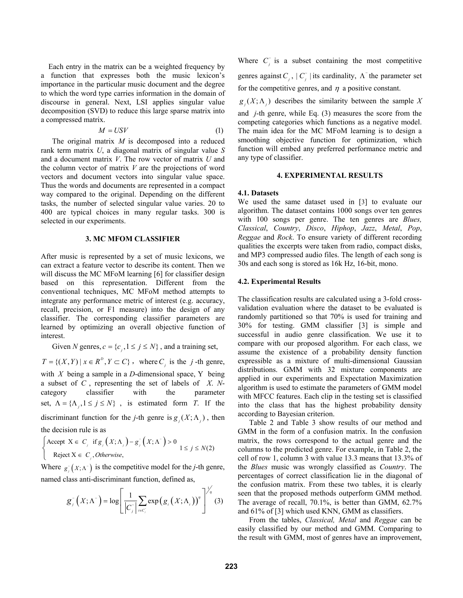Each entry in the matrix can be a weighted frequency by a function that expresses both the music lexicon's importance in the particular music document and the degree to which the word type carries information in the domain of discourse in general. Next, LSI applies singular value decomposition (SVD) to reduce this large sparse matrix into a compressed matrix.

$$
M = USV \tag{1}
$$

The original matrix *M* is decomposed into a reduced rank term matrix *U*, a diagonal matrix of singular value *S*  and a document matrix *V*. The row vector of matrix *U* and the column vector of matrix *V* are the projections of word vectors and document vectors into singular value space. Thus the words and documents are represented in a compact way compared to the original. Depending on the different tasks, the number of selected singular value varies. 20 to 400 are typical choices in many regular tasks. 300 is selected in our experiments.

#### **3. MC MFOM CLASSIFIER**

After music is represented by a set of music lexicons, we can extract a feature vector to describe its content. Then we will discuss the MC MFoM learning [6] for classifier design based on this representation. Different from the conventional techniques, MC MFoM method attempts to integrate any performance metric of interest (e.g. accuracy, recall, precision, or F1 measure) into the design of any classifier. The corresponding classifier parameters are learned by optimizing an overall objective function of interest.

Given *N* genres,  $c = \{c_i, 1 \le j \le N\}$ , and a training set,

 $T = \{(X, Y) | x \in R^D, Y \subset C\}$ , where  $C_j$  is the *j*-th genre, with *X* being a sample in a *D*-dimensional space, Y being a subset of *C* , representing the set of labels of *X*. *N*category classifier with the parameter set,  $\Lambda = {\Lambda_j, 1 \le j \le N}$ , is estimated form *T*. If the discriminant function for the *j*-th genre is  $g_j(X; \Lambda_j)$ , then the decision rule is as

$$
\begin{cases} \text{Accept } X \in C_j \text{ if } g_j(X; \Lambda_j) - g_j^{-1}(X; \Lambda^{-}) > 0 \\ \text{Reject } X \in C_j, \text{Otherwise,} \end{cases} \quad 1 \leq j \leq N(2)
$$

Where  $g_j(x; \Lambda^+)$  is the competitive model for the *j*-th genre, named class anti-discriminant function, defined as,

$$
g_j^-\left(X;\Lambda^-\right)=\log\left[\frac{1}{\left|C_j^-\right|}\sum_{i\in C_j^-}\exp\left(g_i\left(X;\Lambda_i\right)\right)^{\eta}\right]^{1/\eta}\left(3\right)
$$

Where  $C_j$  is a subset containing the most competitive genres against  $C_j$ ,  $|C_j|$  its cardinality,  $\Lambda$ <sup>-</sup> the parameter set for the competitive genres, and  $\eta$  a positive constant.

 $g(x; \Lambda)$  describes the similarity between the sample X

and *j*-th genre, while Eq. (3) measures the score from the competing categories which functions as a negative model. The main idea for the MC MFoM learning is to design a smoothing objective function for optimization, which function will embed any preferred performance metric and any type of classifier.

#### **4. EXPERIMENTAL RESULTS**

#### **4.1. Datasets**

We used the same dataset used in [3] to evaluate our algorithm. The dataset contains 1000 songs over ten genres with 100 songs per genre. The ten genres are *Blues, Classical*, *Country*, *Disco*, *Hiphop*, *Jazz*, *Metal*, *Pop*, *Reggae* and *Rock*. To ensure variety of different recording qualities the excerpts were taken from radio, compact disks, and MP3 compressed audio files. The length of each song is 30s and each song is stored as 16k Hz, 16-bit, mono.

#### **4.2. Experimental Results**

The classification results are calculated using a 3-fold crossvalidation evaluation where the dataset to be evaluated is randomly partitioned so that 70% is used for training and 30% for testing. GMM classifier [3] is simple and successful in audio genre classification. We use it to compare with our proposed algorithm. For each class, we assume the existence of a probability density function expressible as a mixture of multi-dimensional Gaussian distributions. GMM with 32 mixture components are applied in our experiments and Expectation Maximization algorithm is used to estimate the parameters of GMM model with MFCC features. Each clip in the testing set is classified into the class that has the highest probability density according to Bayesian criterion.

Table 2 and Table 3 show results of our method and GMM in the form of a confusion matrix. In the confusion matrix, the rows correspond to the actual genre and the columns to the predicted genre. For example, in Table 2, the cell of row 1, column 3 with value 13.3 means that 13.3% of the *Blues* music was wrongly classified as *Country*. The percentages of correct classification lie in the diagonal of the confusion matrix. From these two tables, it is clearly seen that the proposed methods outperform GMM method. The average of recall, 70.1%, is better than GMM, 62.7% and 61% of [3] which used KNN, GMM as classifiers.

From the tables, *Classical, Metal* and *Reggae* can be easily classified by our method and GMM. Comparing to the result with GMM, most of genres have an improvement,